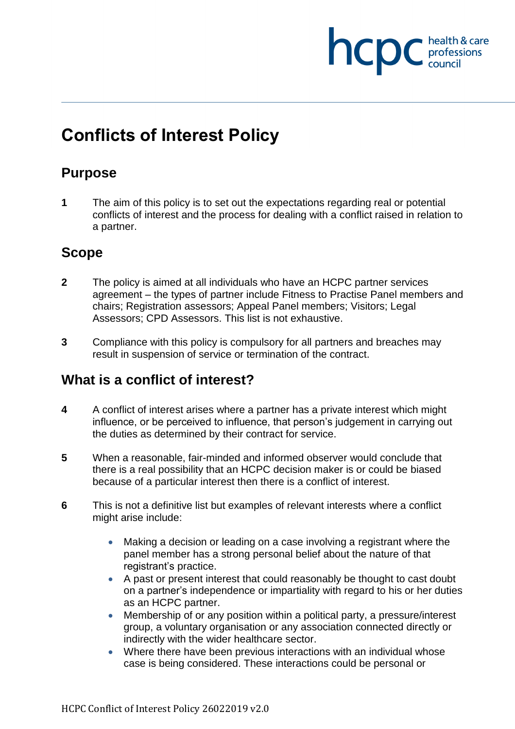# **INCDC** health & care health & care

## **Conflicts of Interest Policy**

### **Purpose**

**1** The aim of this policy is to set out the expectations regarding real or potential conflicts of interest and the process for dealing with a conflict raised in relation to a partner.

#### **Scope**

- **2** The policy is aimed at all individuals who have an HCPC partner services agreement – the types of partner include Fitness to Practise Panel members and chairs; Registration assessors; Appeal Panel members; Visitors; Legal Assessors; CPD Assessors. This list is not exhaustive.
- **3** Compliance with this policy is compulsory for all partners and breaches may result in suspension of service or termination of the contract.

## **What is a conflict of interest?**

- **4** A conflict of interest arises where a partner has a private interest which might influence, or be perceived to influence, that person's judgement in carrying out the duties as determined by their contract for service.
- **5** When a reasonable, fair-minded and informed observer would conclude that there is a real possibility that an HCPC decision maker is or could be biased because of a particular interest then there is a conflict of interest.
- **6** This is not a definitive list but examples of relevant interests where a conflict might arise include:
	- Making a decision or leading on a case involving a registrant where the panel member has a strong personal belief about the nature of that registrant's practice.
	- A past or present interest that could reasonably be thought to cast doubt on a partner's independence or impartiality with regard to his or her duties as an HCPC partner.
	- Membership of or any position within a political party, a pressure/interest group, a voluntary organisation or any association connected directly or indirectly with the wider healthcare sector.
	- Where there have been previous interactions with an individual whose case is being considered. These interactions could be personal or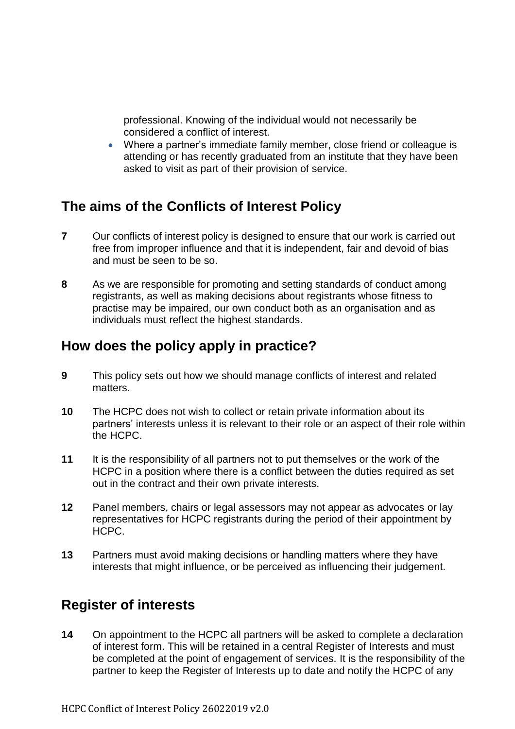professional. Knowing of the individual would not necessarily be considered a conflict of interest.

 Where a partner's immediate family member, close friend or colleague is attending or has recently graduated from an institute that they have been asked to visit as part of their provision of service.

#### **The aims of the Conflicts of Interest Policy**

- **7** Our conflicts of interest policy is designed to ensure that our work is carried out free from improper influence and that it is independent, fair and devoid of bias and must be seen to be so.
- **8** As we are responsible for promoting and setting standards of conduct among registrants, as well as making decisions about registrants whose fitness to practise may be impaired, our own conduct both as an organisation and as individuals must reflect the highest standards.

#### **How does the policy apply in practice?**

- **9** This policy sets out how we should manage conflicts of interest and related matters.
- **10** The HCPC does not wish to collect or retain private information about its partners' interests unless it is relevant to their role or an aspect of their role within the HCPC.
- **11** It is the responsibility of all partners not to put themselves or the work of the HCPC in a position where there is a conflict between the duties required as set out in the contract and their own private interests.
- **12** Panel members, chairs or legal assessors may not appear as advocates or lay representatives for HCPC registrants during the period of their appointment by HCPC.
- **13** Partners must avoid making decisions or handling matters where they have interests that might influence, or be perceived as influencing their judgement.

#### **Register of interests**

**14** On appointment to the HCPC all partners will be asked to complete a declaration of interest form. This will be retained in a central Register of Interests and must be completed at the point of engagement of services. It is the responsibility of the partner to keep the Register of Interests up to date and notify the HCPC of any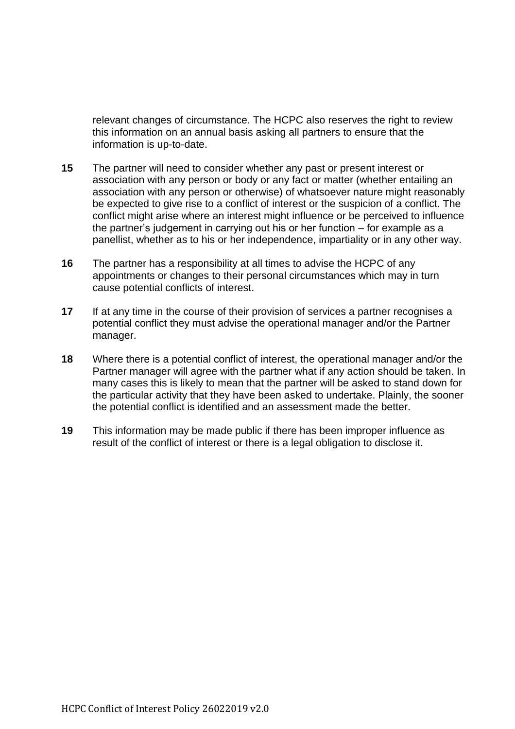relevant changes of circumstance. The HCPC also reserves the right to review this information on an annual basis asking all partners to ensure that the information is up-to-date.

- **15** The partner will need to consider whether any past or present interest or association with any person or body or any fact or matter (whether entailing an association with any person or otherwise) of whatsoever nature might reasonably be expected to give rise to a conflict of interest or the suspicion of a conflict. The conflict might arise where an interest might influence or be perceived to influence the partner's judgement in carrying out his or her function – for example as a panellist, whether as to his or her independence, impartiality or in any other way.
- **16** The partner has a responsibility at all times to advise the HCPC of any appointments or changes to their personal circumstances which may in turn cause potential conflicts of interest.
- **17** If at any time in the course of their provision of services a partner recognises a potential conflict they must advise the operational manager and/or the Partner manager.
- **18** Where there is a potential conflict of interest, the operational manager and/or the Partner manager will agree with the partner what if any action should be taken. In many cases this is likely to mean that the partner will be asked to stand down for the particular activity that they have been asked to undertake. Plainly, the sooner the potential conflict is identified and an assessment made the better.
- **19** This information may be made public if there has been improper influence as result of the conflict of interest or there is a legal obligation to disclose it.